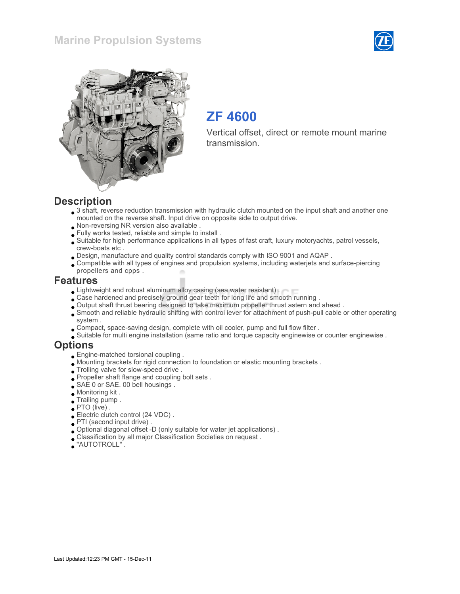



# ZF 4600

Vertical offset, direct or remote mount marine transmission.

#### **Description**

- 3 shaft, reverse reduction transmission with hydraulic clutch mounted on the input shaft and another one mounted on the reverse shaft. Input drive on opposite side to output drive.
- Non-reversing NR version also available .
- Fully works tested, reliable and simple to install .
- Suitable for high performance applications in all types of fast craft, luxury motoryachts, patrol vessels, crew-boats etc .
- Design, manufacture and quality control standards comply with ISO 9001 and AQAP .
- Compatible with all types of engines and propulsion systems, including waterjets and surface-piercing propellers and cpps .

#### Features

- **Lightweight and robust aluminum alloy casing (sea water resistant).**
- Case hardened and precisely ground gear teeth for long life and smooth running .
- Output shaft thrust bearing designed to take maximum propeller thrust astern and ahead .
- Smooth and reliable hydraulic shifting with control lever for attachment of push-pull cable or other operating system .
- Compact, space-saving design, complete with oil cooler, pump and full flow filter .
- Suitable for multi engine installation (same ratio and torque capacity enginewise or counter enginewise .

#### **Options**

- Engine-matched torsional coupling .
- Mounting brackets for rigid connection to foundation or elastic mounting brackets .
- Trolling valve for slow-speed drive .
- Propeller shaft flange and coupling bolt sets .
- SAE 0 or SAE. 00 bell housings.
- Monitoring kit .
- Trailing pump .
- PTO (live).
- Electric clutch control (24 VDC) .
- PTI (second input drive) .
- Optional diagonal offset -D (only suitable for water jet applications) .
- Classification by all major Classification Societies on request .
- "AUTOTROLL" .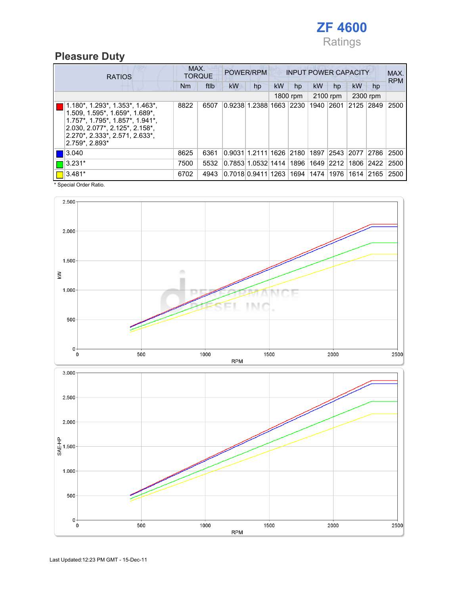

## Pleasure Duty

| <b>RATIOS</b>                                                                                                                                                                                                                    | MAX. | <b>TORQUE</b> | POWER/RPM<br><b>INPUT POWER CAPACITY</b> |                              |    |          |           |                     | MAX.<br><b>RPM</b> |          |      |
|----------------------------------------------------------------------------------------------------------------------------------------------------------------------------------------------------------------------------------|------|---------------|------------------------------------------|------------------------------|----|----------|-----------|---------------------|--------------------|----------|------|
|                                                                                                                                                                                                                                  | Nm   | ftlb          | <b>kW</b>                                | hp                           | kW | hp       | <b>kW</b> | hp                  | <b>kW</b>          | hp       |      |
|                                                                                                                                                                                                                                  |      |               |                                          |                              |    | 1800 rpm |           | 2100 rpm            |                    | 2300 rpm |      |
| $1.180^*$ , $1.293^*$ , $1.353^*$ , $1.463^*$ ,<br>$1.509, 1.595$ *, $1.659$ *, $1.689$ *,<br>$1.757$ *, $1.795$ *, $1.857$ *, $1.941$ *,<br> 2.030, 2.077*, 2.125*, 2.158*,<br>2.270*, 2.333*, 2.571, 2.633*,<br>2.759*, 2.893* | 8822 | 6507          |                                          | 0.9238 1.2388 1663 2230      |    |          |           | 1940 2601 2125 2849 |                    |          | 2500 |
| 3.040                                                                                                                                                                                                                            | 8625 | 6361          |                                          | 0.9031 1.2111 1626 2180 1897 |    |          |           | 2543 2077           |                    | 2786     | 2500 |
| $3.231*$                                                                                                                                                                                                                         | 7500 | 5532          |                                          | 0.7853 1.0532 1414           |    | 1896     | 1649 2212 |                     | 1806               | 2422     | 2500 |
| $3.481*$                                                                                                                                                                                                                         | 6702 | 4943          | 0.7018 0.9411 1263  1694  1474  1976     |                              |    |          |           |                     | 1614  2165         |          | 2500 |

\* Special Order Ratio.



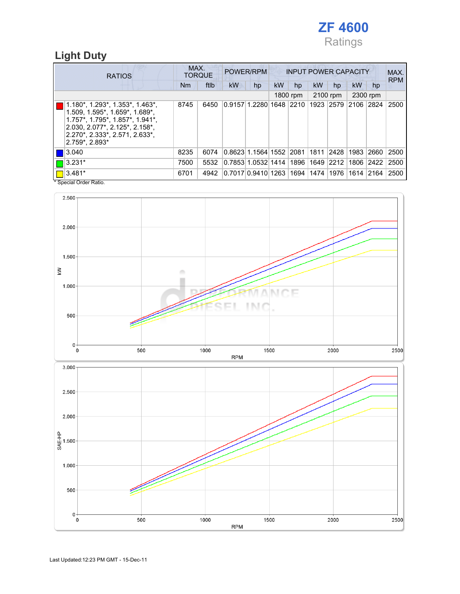

### Light Duty

| <b>RATIOS</b>                                                                                                                                                                                                                                           |      | MAX.<br><b>TORQUE</b> | POWER/RPM<br><b>INPUT POWER CAPACITY</b> |    |           |          |             |                |          | MAX.<br><b>RPM</b> |      |
|---------------------------------------------------------------------------------------------------------------------------------------------------------------------------------------------------------------------------------------------------------|------|-----------------------|------------------------------------------|----|-----------|----------|-------------|----------------|----------|--------------------|------|
|                                                                                                                                                                                                                                                         | Nm   | ftlb                  | <b>kW</b>                                | hp | <b>kW</b> | hp       | <b>kW</b>   | hp             | kW       | hp                 |      |
|                                                                                                                                                                                                                                                         |      |                       |                                          |    |           | 1800 rpm |             | 2100 rpm       | 2300 rpm |                    |      |
| $1.180^*$ , $1.293^*$ , $1.353^*$ , $1.463^*$ ,<br>$1.509, 1.595$ *, $1.659$ *, $1.689$ *,<br>1.757*, 1.795*, 1.857*, 1.941*,<br>$2.030, 2.077$ *, $2.125$ *, $2.158$ *,<br>2.270*, 2.333*, 2.571, 2.633*,<br>$2.759$ <sup>*</sup> , 2.893 <sup>*</sup> | 8745 | 6450                  | 0.9157 1.2280 1648  2210                 |    |           |          |             | 1923 2579 2106 |          | 2824               | 2500 |
| 3.040                                                                                                                                                                                                                                                   | 8235 | 6074                  | 0.8623 1.1564 1552 2081                  |    |           |          | 1811   2428 |                | 1983     | 2660               | 2500 |
| $ 3.231*$                                                                                                                                                                                                                                               | 7500 | 5532                  | 0.7853 1.0532 1414 1896 1649 2212        |    |           |          |             |                | 1806     | 2422               | 2500 |
| 3.481*                                                                                                                                                                                                                                                  | 6701 | 4942                  | 0.7017 0.9410 1263  1694  1474           |    |           |          |             | 1976           | 1614     | $ 2164\rangle$     | 2500 |
| * Special Order Ratio.                                                                                                                                                                                                                                  |      |                       |                                          |    |           |          |             |                |          |                    |      |

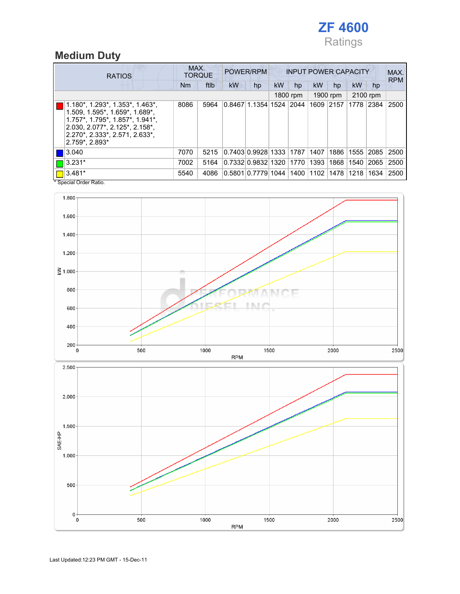

### Medium Duty

|  | <b>RATIOS</b>                                                                                                                                                                                       |      | MAX.<br><b>TORQUE</b> | POWER/RPM<br><b>INPUT POWER CAPACITY</b> |                         |           |          |           |           |          | MAX.<br><b>RPM</b> |      |
|--|-----------------------------------------------------------------------------------------------------------------------------------------------------------------------------------------------------|------|-----------------------|------------------------------------------|-------------------------|-----------|----------|-----------|-----------|----------|--------------------|------|
|  |                                                                                                                                                                                                     | Nm   | ftlb                  | <b>kW</b>                                | hp                      | <b>kW</b> | hp       | <b>kW</b> | hp        | kW       | hp                 |      |
|  |                                                                                                                                                                                                     |      |                       |                                          |                         |           | 1800 rpm | 1900 rpm  |           | 2100 rpm |                    |      |
|  | 1.180*, 1.293*, 1.353*, 1.463*,<br>$1.509, 1.595$ *, $1.659$ *, $1.689$ *,<br>1.757*, 1.795*, 1.857*, 1.941*,<br>2.030, 2.077*, 2.125*, 2.158*,<br>2.270*, 2.333*, 2.571, 2.633*,<br>2.759*, 2.893* | 8086 | 5964                  |                                          | 0.8467 1.1354 1524 2044 |           |          |           | 1609 2157 | 1778     | 2384               | 2500 |
|  | 3.040                                                                                                                                                                                               | 7070 | 5215                  | 0.7403 0.9928 1333 1787                  |                         |           |          | 1407      | 1886      | 1555     | 2085               | 2500 |
|  | $ 3.231*$                                                                                                                                                                                           | 7002 | 5164                  |                                          | 0.7332 0.9832 1320      |           | 1770     | 1393      | 1868      | 1540     | 2065               | 2500 |
|  | $3.481*$                                                                                                                                                                                            | 5540 | 4086                  | 0.5801 0.7779 1044  1400  1102           |                         |           |          |           | 1478      | 1218     | 1634               | 2500 |
|  | * Special Order Ratio.                                                                                                                                                                              |      |                       |                                          |                         |           |          |           |           |          |                    |      |



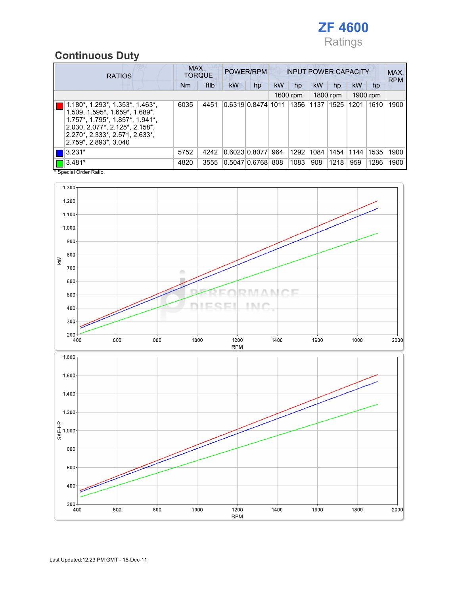

## Continuous Duty

| <b>RATIOS</b>                                                                                                                                                                                                                                   | MAX.<br><b>TORQUE</b> | POWER/RPM<br><b>INPUT POWER CAPACITY</b> |    |                    |           |          |             | MAX.<br><b>RPM</b> |           |          |      |
|-------------------------------------------------------------------------------------------------------------------------------------------------------------------------------------------------------------------------------------------------|-----------------------|------------------------------------------|----|--------------------|-----------|----------|-------------|--------------------|-----------|----------|------|
|                                                                                                                                                                                                                                                 | Nm                    | ftlb                                     | kW | hp                 | <b>kW</b> | hp       | <b>kW</b>   | hp                 | <b>kW</b> | hp       |      |
|                                                                                                                                                                                                                                                 |                       |                                          |    |                    |           | 1600 rpm |             | 1800 rpm           |           | 1900 rpm |      |
| $1.180^*$ , $1.293^*$ , $1.353^*$ , $1.463^*$ ,<br>$1.509, 1.595$ *, $1.659$ *, $1.689$ *,<br>$1.757$ *, $1.795$ *, $1.857$ *, $1.941$ *,<br>$2.030, 2.077$ *, $2.125$ *, $2.158$ *,<br>2.270*, 2.333*, 2.571, 2.633*,<br>2.759*, 2.893*, 3.040 | 6035                  | 4451                                     |    | 0.631910.847411011 |           |          | 1356   1137 | 1525               | 1201      | 1610     | 1900 |
| $3.231*$                                                                                                                                                                                                                                        | 5752                  | 4242                                     |    | 0.6023 0.8077      | 964       | 1292     | 1084        | 1454               | 1144      | 1535     | 1900 |
| $ 3.481*$                                                                                                                                                                                                                                       | 4820                  | 3555                                     |    | 0.5047 0.6768      | 808       | 1083     | 908         | 1218               | 959       | 1286     | 1900 |

\* Special Order Ratio.

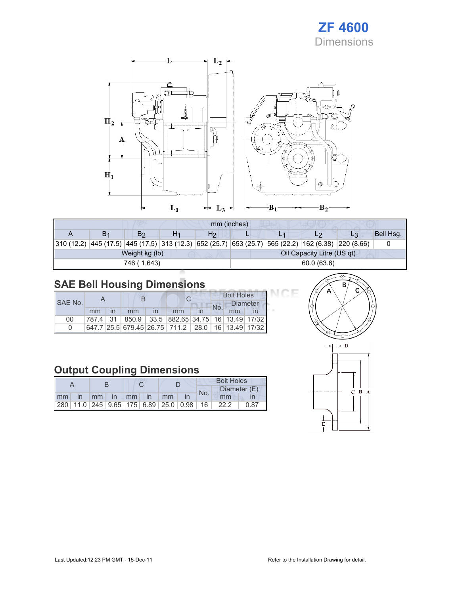



|                                                                    | mm (inches) |                |  |                |            |  |                                    |    |           |  |
|--------------------------------------------------------------------|-------------|----------------|--|----------------|------------|--|------------------------------------|----|-----------|--|
|                                                                    | В1          | B2             |  | H <sub>2</sub> |            |  | L2                                 | L3 | Bell Hsg. |  |
| $310(12.2)$ 445 (17.5) 445 (17.5) 313 (12.3) 652 (25.7) 653 (25.7) |             |                |  |                |            |  | 565 (22.2)  162 (6.38)  220 (8.66) |    |           |  |
|                                                                    |             | Weight kg (lb) |  |                |            |  | Oil Capacity Litre (US qt)         |    |           |  |
|                                                                    |             | 746 (1,643)    |  |                | 60.0(63.6) |  |                                    |    |           |  |

## SAE Bell Housing Dimensions

|         |    |    |                                                   | <b>Bolt Holes</b> |    |                 |  |
|---------|----|----|---------------------------------------------------|-------------------|----|-----------------|--|
| SAE No. |    |    |                                                   | No.               |    | <b>Diameter</b> |  |
|         | mm | mm | mm                                                |                   | mm |                 |  |
| 00      |    |    | 787.4 31 850.9 33.5 882.65 34.75 16 13.49 17/32   |                   |    |                 |  |
|         |    |    | 647.7 25.5 679.45 26.75 711.2 28.0 16 13.49 17/32 |                   |    |                 |  |

### Output Coupling Dimensions

|    |     |                 |          |      | <b>Bolt Holes</b> |                                                         |     |              |      |
|----|-----|-----------------|----------|------|-------------------|---------------------------------------------------------|-----|--------------|------|
|    |     |                 |          |      |                   |                                                         | No. | Diameter (E) |      |
| mm | -in | mm <sub>l</sub> | $\ln$ mm | l in | mm                |                                                         |     | mm           |      |
|    |     |                 |          |      |                   | 280   11.0   245   9.65   175   6.89   25.0   0.98   16 |     | 22.2         | 0.87 |